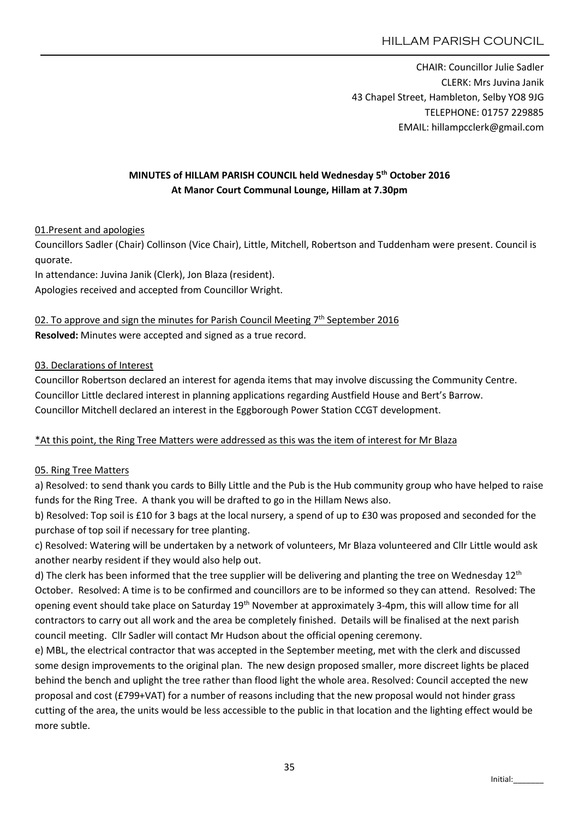CHAIR: Councillor Julie Sadler CLERK: Mrs Juvina Janik 43 Chapel Street, Hambleton, Selby YO8 9JG TELEPHONE: 01757 229885 EMAIL: hillampcclerk@gmail.com

# MINUTES of HILLAM PARISH COUNCIL held Wednesday 5<sup>th</sup> October 2016 At Manor Court Communal Lounge, Hillam at 7.30pm

### 01.Present and apologies

Councillors Sadler (Chair) Collinson (Vice Chair), Little, Mitchell, Robertson and Tuddenham were present. Council is quorate.

In attendance: Juvina Janik (Clerk), Jon Blaza (resident). Apologies received and accepted from Councillor Wright.

02. To approve and sign the minutes for Parish Council Meeting 7<sup>th</sup> September 2016 Resolved: Minutes were accepted and signed as a true record.

#### 03. Declarations of Interest

Councillor Robertson declared an interest for agenda items that may involve discussing the Community Centre. Councillor Little declared interest in planning applications regarding Austfield House and Bert's Barrow. Councillor Mitchell declared an interest in the Eggborough Power Station CCGT development.

## \*At this point, the Ring Tree Matters were addressed as this was the item of interest for Mr Blaza

#### 05. Ring Tree Matters

a) Resolved: to send thank you cards to Billy Little and the Pub is the Hub community group who have helped to raise funds for the Ring Tree. A thank you will be drafted to go in the Hillam News also.

b) Resolved: Top soil is £10 for 3 bags at the local nursery, a spend of up to £30 was proposed and seconded for the purchase of top soil if necessary for tree planting.

c) Resolved: Watering will be undertaken by a network of volunteers, Mr Blaza volunteered and Cllr Little would ask another nearby resident if they would also help out.

d) The clerk has been informed that the tree supplier will be delivering and planting the tree on Wednesday  $12<sup>th</sup>$ October. Resolved: A time is to be confirmed and councillors are to be informed so they can attend. Resolved: The opening event should take place on Saturday 19th November at approximately 3-4pm, this will allow time for all contractors to carry out all work and the area be completely finished. Details will be finalised at the next parish council meeting. Cllr Sadler will contact Mr Hudson about the official opening ceremony.

e) MBL, the electrical contractor that was accepted in the September meeting, met with the clerk and discussed some design improvements to the original plan. The new design proposed smaller, more discreet lights be placed behind the bench and uplight the tree rather than flood light the whole area. Resolved: Council accepted the new proposal and cost (£799+VAT) for a number of reasons including that the new proposal would not hinder grass cutting of the area, the units would be less accessible to the public in that location and the lighting effect would be more subtle.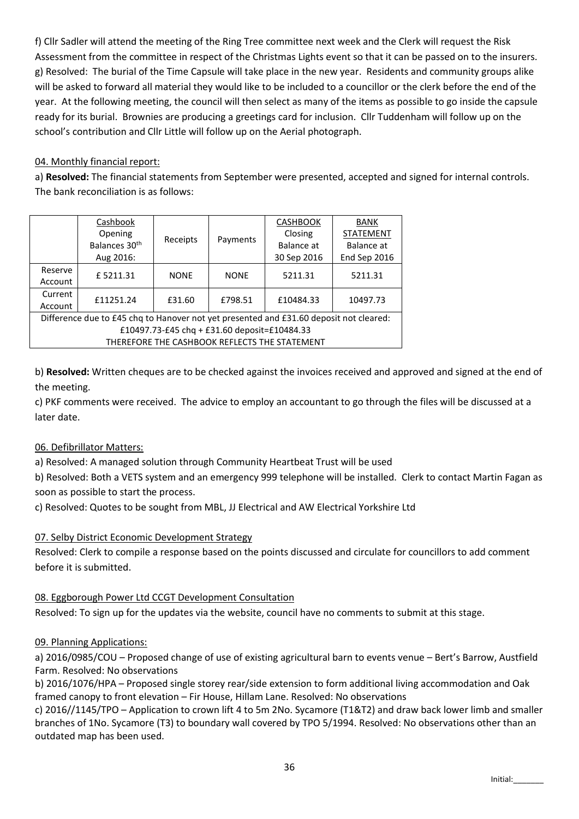f) Cllr Sadler will attend the meeting of the Ring Tree committee next week and the Clerk will request the Risk Assessment from the committee in respect of the Christmas Lights event so that it can be passed on to the insurers. g) Resolved: The burial of the Time Capsule will take place in the new year. Residents and community groups alike will be asked to forward all material they would like to be included to a councillor or the clerk before the end of the year. At the following meeting, the council will then select as many of the items as possible to go inside the capsule ready for its burial. Brownies are producing a greetings card for inclusion. Cllr Tuddenham will follow up on the school's contribution and Cllr Little will follow up on the Aerial photograph.

### 04. Monthly financial report:

a) Resolved: The financial statements from September were presented, accepted and signed for internal controls. The bank reconciliation is as follows:

|                                                                                        | Cashbook                  | Receipts    | Payments    | <b>CASHBOOK</b> | BANK             |
|----------------------------------------------------------------------------------------|---------------------------|-------------|-------------|-----------------|------------------|
|                                                                                        | Opening                   |             |             | Closing         | <b>STATEMENT</b> |
|                                                                                        | Balances 30 <sup>th</sup> |             |             | Balance at      | Balance at       |
|                                                                                        | Aug 2016:                 |             |             | 30 Sep 2016     | End Sep 2016     |
| Reserve                                                                                | £5211.31                  | <b>NONE</b> | <b>NONE</b> | 5211.31         | 5211.31          |
| Account                                                                                |                           |             |             |                 |                  |
| Current                                                                                | £11251.24                 | £31.60      | £798.51     | £10484.33       | 10497.73         |
| Account                                                                                |                           |             |             |                 |                  |
| Difference due to £45 chq to Hanover not yet presented and £31.60 deposit not cleared: |                           |             |             |                 |                  |
| £10497.73-£45 chq + £31.60 deposit=£10484.33                                           |                           |             |             |                 |                  |
| THEREFORE THE CASHBOOK REFLECTS THE STATEMENT                                          |                           |             |             |                 |                  |

b) Resolved: Written cheques are to be checked against the invoices received and approved and signed at the end of the meeting.

c) PKF comments were received. The advice to employ an accountant to go through the files will be discussed at a later date.

## 06. Defibrillator Matters:

a) Resolved: A managed solution through Community Heartbeat Trust will be used

b) Resolved: Both a VETS system and an emergency 999 telephone will be installed. Clerk to contact Martin Fagan as soon as possible to start the process.

c) Resolved: Quotes to be sought from MBL, JJ Electrical and AW Electrical Yorkshire Ltd

#### 07. Selby District Economic Development Strategy

Resolved: Clerk to compile a response based on the points discussed and circulate for councillors to add comment before it is submitted.

#### 08. Eggborough Power Ltd CCGT Development Consultation

Resolved: To sign up for the updates via the website, council have no comments to submit at this stage.

#### 09. Planning Applications:

a) 2016/0985/COU – Proposed change of use of existing agricultural barn to events venue – Bert's Barrow, Austfield Farm. Resolved: No observations

b) 2016/1076/HPA – Proposed single storey rear/side extension to form additional living accommodation and Oak framed canopy to front elevation – Fir House, Hillam Lane. Resolved: No observations

c) 2016//1145/TPO – Application to crown lift 4 to 5m 2No. Sycamore (T1&T2) and draw back lower limb and smaller branches of 1No. Sycamore (T3) to boundary wall covered by TPO 5/1994. Resolved: No observations other than an outdated map has been used.